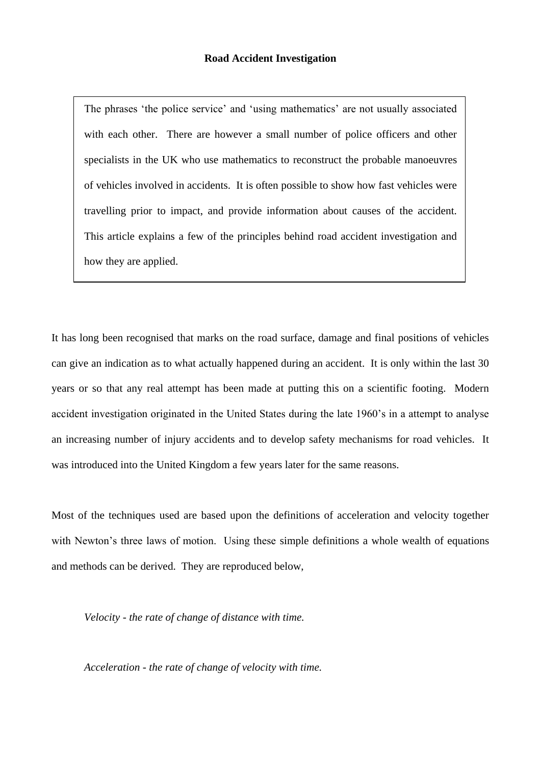The phrases 'the police service' and 'using mathematics' are not usually associated with each other. There are however a small number of police officers and other specialists in the UK who use mathematics to reconstruct the probable manoeuvres of vehicles involved in accidents. It is often possible to show how fast vehicles were travelling prior to impact, and provide information about causes of the accident. This article explains a few of the principles behind road accident investigation and how they are applied.

It has long been recognised that marks on the road surface, damage and final positions of vehicles can give an indication as to what actually happened during an accident. It is only within the last 30 years or so that any real attempt has been made at putting this on a scientific footing. Modern accident investigation originated in the United States during the late 1960's in a attempt to analyse an increasing number of injury accidents and to develop safety mechanisms for road vehicles. It was introduced into the United Kingdom a few years later for the same reasons.

Most of the techniques used are based upon the definitions of acceleration and velocity together with Newton's three laws of motion. Using these simple definitions a whole wealth of equations and methods can be derived. They are reproduced below,

*Velocity - the rate of change of distance with time.*

*Acceleration - the rate of change of velocity with time.*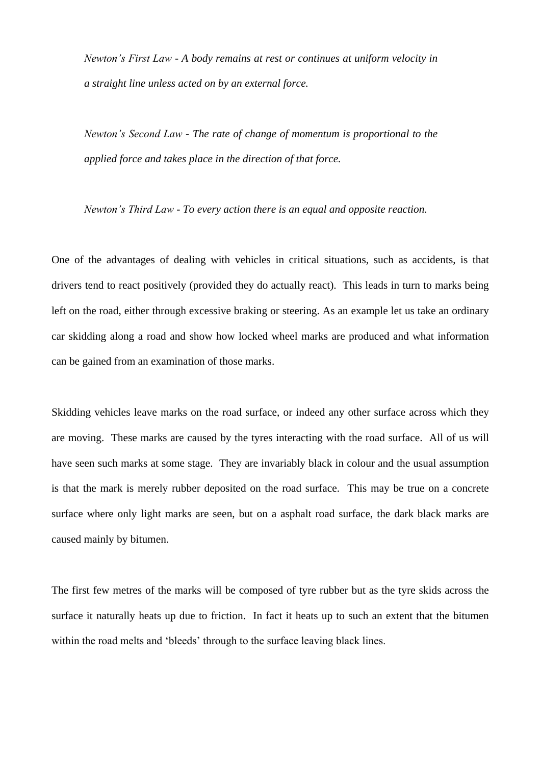*Newton's First Law - A body remains at rest or continues at uniform velocity in a straight line unless acted on by an external force.*

*Newton's Second Law - The rate of change of momentum is proportional to the applied force and takes place in the direction of that force.*

*Newton's Third Law - To every action there is an equal and opposite reaction.*

One of the advantages of dealing with vehicles in critical situations, such as accidents, is that drivers tend to react positively (provided they do actually react). This leads in turn to marks being left on the road, either through excessive braking or steering. As an example let us take an ordinary car skidding along a road and show how locked wheel marks are produced and what information can be gained from an examination of those marks.

Skidding vehicles leave marks on the road surface, or indeed any other surface across which they are moving. These marks are caused by the tyres interacting with the road surface. All of us will have seen such marks at some stage. They are invariably black in colour and the usual assumption is that the mark is merely rubber deposited on the road surface. This may be true on a concrete surface where only light marks are seen, but on a asphalt road surface, the dark black marks are caused mainly by bitumen.

The first few metres of the marks will be composed of tyre rubber but as the tyre skids across the surface it naturally heats up due to friction. In fact it heats up to such an extent that the bitumen within the road melts and 'bleeds' through to the surface leaving black lines.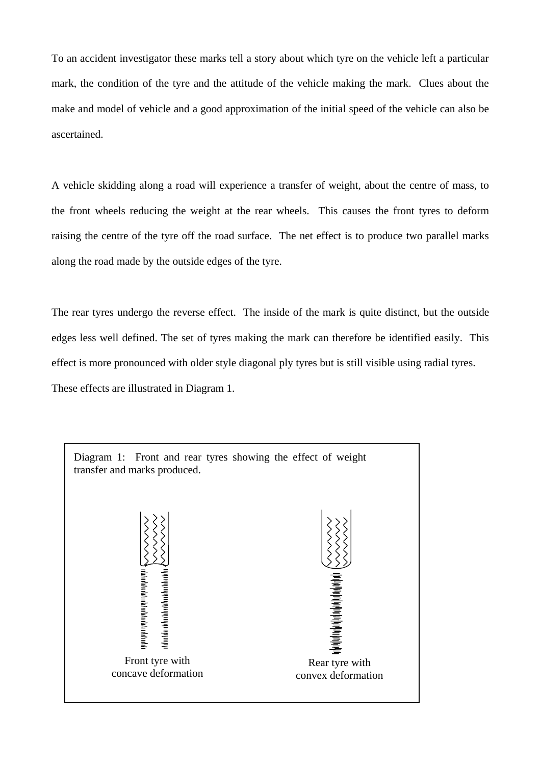To an accident investigator these marks tell a story about which tyre on the vehicle left a particular mark, the condition of the tyre and the attitude of the vehicle making the mark. Clues about the make and model of vehicle and a good approximation of the initial speed of the vehicle can also be ascertained.

A vehicle skidding along a road will experience a transfer of weight, about the centre of mass, to the front wheels reducing the weight at the rear wheels. This causes the front tyres to deform raising the centre of the tyre off the road surface. The net effect is to produce two parallel marks along the road made by the outside edges of the tyre.

The rear tyres undergo the reverse effect. The inside of the mark is quite distinct, but the outside edges less well defined. The set of tyres making the mark can therefore be identified easily. This effect is more pronounced with older style diagonal ply tyres but is still visible using radial tyres. These effects are illustrated in Diagram 1.

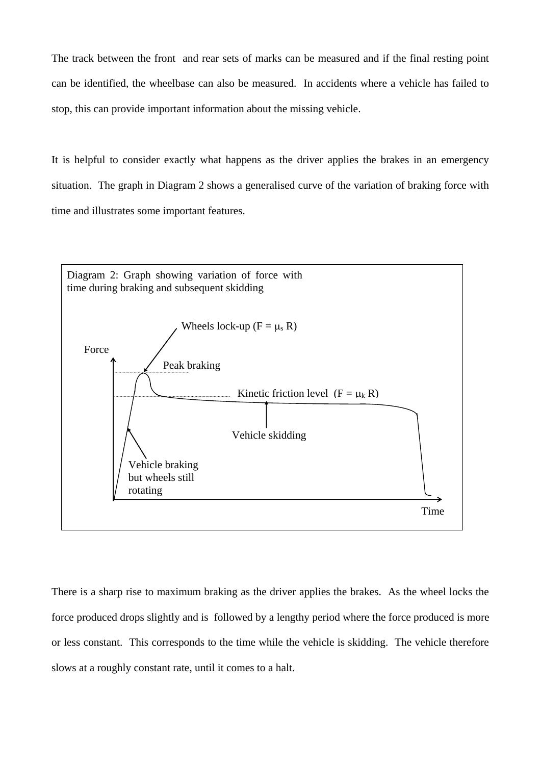The track between the front and rear sets of marks can be measured and if the final resting point can be identified, the wheelbase can also be measured. In accidents where a vehicle has failed to stop, this can provide important information about the missing vehicle.

It is helpful to consider exactly what happens as the driver applies the brakes in an emergency situation. The graph in Diagram 2 shows a generalised curve of the variation of braking force with time and illustrates some important features.



There is a sharp rise to maximum braking as the driver applies the brakes. As the wheel locks the force produced drops slightly and is followed by a lengthy period where the force produced is more or less constant. This corresponds to the time while the vehicle is skidding. The vehicle therefore slows at a roughly constant rate, until it comes to a halt.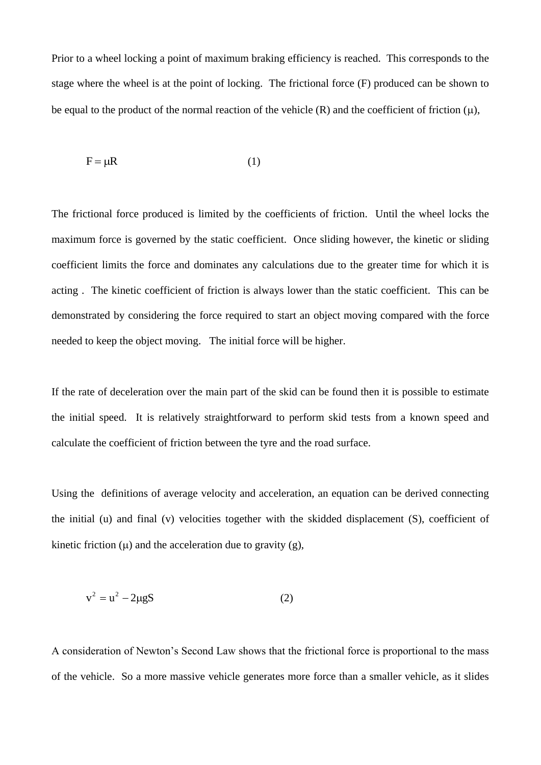Prior to a wheel locking a point of maximum braking efficiency is reached. This corresponds to the stage where the wheel is at the point of locking. The frictional force (F) produced can be shown to be equal to the product of the normal reaction of the vehicle  $(R)$  and the coefficient of friction  $(u)$ ,

$$
F = \mu R \tag{1}
$$

The frictional force produced is limited by the coefficients of friction. Until the wheel locks the maximum force is governed by the static coefficient. Once sliding however, the kinetic or sliding coefficient limits the force and dominates any calculations due to the greater time for which it is acting . The kinetic coefficient of friction is always lower than the static coefficient. This can be demonstrated by considering the force required to start an object moving compared with the force needed to keep the object moving. The initial force will be higher.

If the rate of deceleration over the main part of the skid can be found then it is possible to estimate the initial speed. It is relatively straightforward to perform skid tests from a known speed and calculate the coefficient of friction between the tyre and the road surface.

Using the definitions of average velocity and acceleration, an equation can be derived connecting the initial (u) and final (v) velocities together with the skidded displacement (S), coefficient of kinetic friction  $(u)$  and the acceleration due to gravity  $(g)$ ,

$$
v^2 = u^2 - 2\mu gS\tag{2}
$$

A consideration of Newton's Second Law shows that the frictional force is proportional to the mass of the vehicle. So a more massive vehicle generates more force than a smaller vehicle, as it slides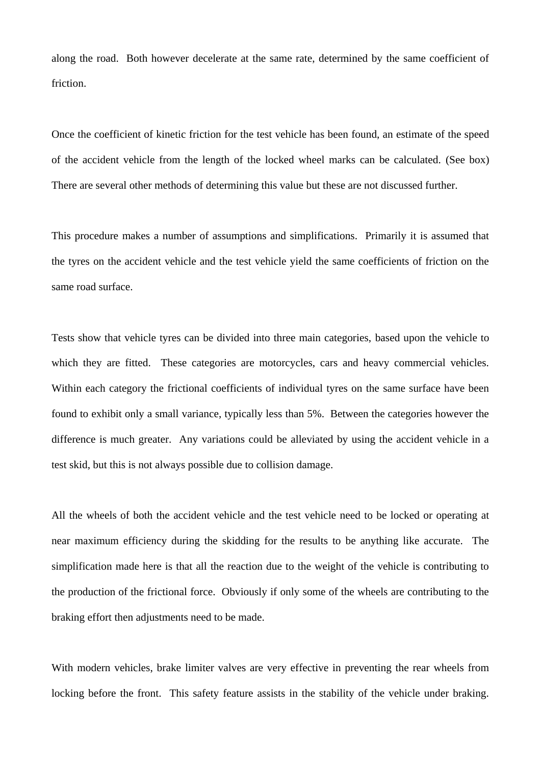along the road. Both however decelerate at the same rate, determined by the same coefficient of friction.

Once the coefficient of kinetic friction for the test vehicle has been found, an estimate of the speed of the accident vehicle from the length of the locked wheel marks can be calculated. (See box) There are several other methods of determining this value but these are not discussed further.

This procedure makes a number of assumptions and simplifications. Primarily it is assumed that the tyres on the accident vehicle and the test vehicle yield the same coefficients of friction on the same road surface.

Tests show that vehicle tyres can be divided into three main categories, based upon the vehicle to which they are fitted. These categories are motorcycles, cars and heavy commercial vehicles. Within each category the frictional coefficients of individual tyres on the same surface have been found to exhibit only a small variance, typically less than 5%. Between the categories however the difference is much greater. Any variations could be alleviated by using the accident vehicle in a test skid, but this is not always possible due to collision damage.

All the wheels of both the accident vehicle and the test vehicle need to be locked or operating at near maximum efficiency during the skidding for the results to be anything like accurate. The simplification made here is that all the reaction due to the weight of the vehicle is contributing to the production of the frictional force. Obviously if only some of the wheels are contributing to the braking effort then adjustments need to be made.

With modern vehicles, brake limiter valves are very effective in preventing the rear wheels from locking before the front. This safety feature assists in the stability of the vehicle under braking.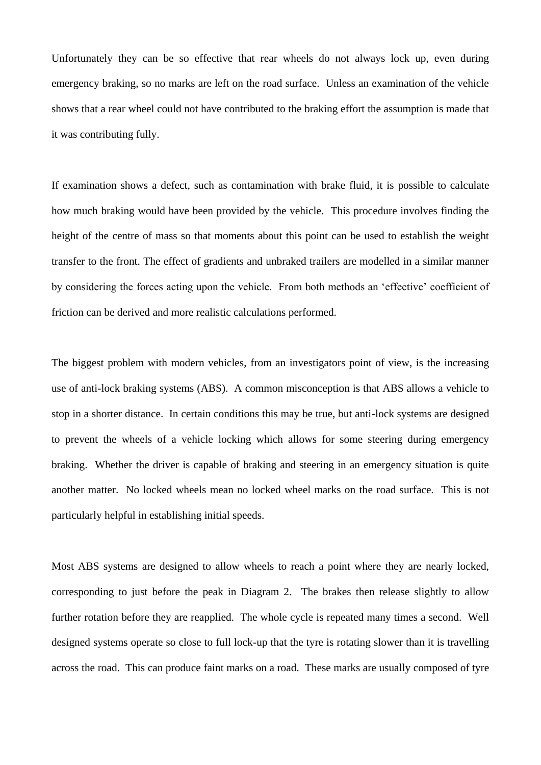Unfortunately they can be so effective that rear wheels do not always lock up, even during emergency braking, so no marks are left on the road surface. Unless an examination of the vehicle shows that a rear wheel could not have contributed to the braking effort the assumption is made that it was contributing fully.

If examination shows a defect, such as contamination with brake fluid, it is possible to calculate how much braking would have been provided by the vehicle. This procedure involves finding the height of the centre of mass so that moments about this point can be used to establish the weight transfer to the front. The effect of gradients and unbraked trailers are modelled in a similar manner by considering the forces acting upon the vehicle. From both methods an 'effective' coefficient of friction can be derived and more realistic calculations performed.

The biggest problem with modern vehicles, from an investigators point of view, is the increasing use of anti-lock braking systems (ABS). A common misconception is that ABS allows a vehicle to stop in a shorter distance. In certain conditions this may be true, but anti-lock systems are designed to prevent the wheels of a vehicle locking which allows for some steering during emergency braking. Whether the driver is capable of braking and steering in an emergency situation is quite another matter. No locked wheels mean no locked wheel marks on the road surface. This is not particularly helpful in establishing initial speeds.

Most ABS systems are designed to allow wheels to reach a point where they are nearly locked, corresponding to just before the peak in Diagram 2. The brakes then release slightly to allow further rotation before they are reapplied. The whole cycle is repeated many times a second. Well designed systems operate so close to full lock-up that the tyre is rotating slower than it is travelling across the road. This can produce faint marks on a road. These marks are usually composed of tyre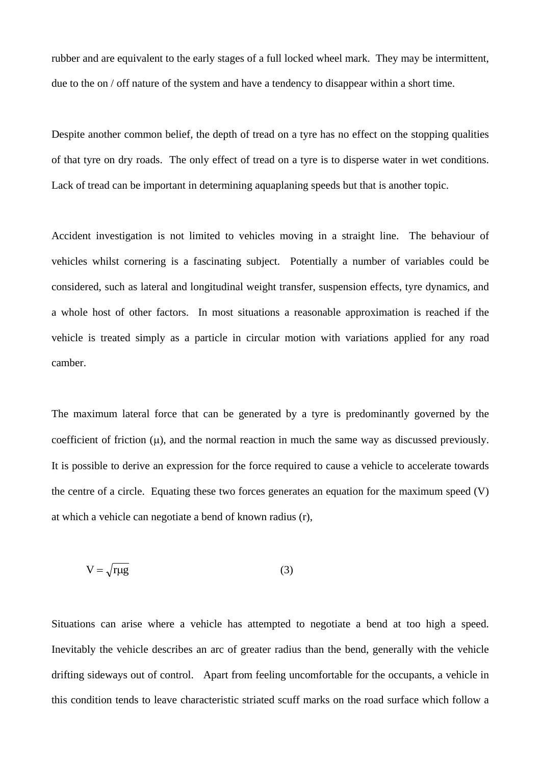rubber and are equivalent to the early stages of a full locked wheel mark. They may be intermittent, due to the on / off nature of the system and have a tendency to disappear within a short time.

Despite another common belief, the depth of tread on a tyre has no effect on the stopping qualities of that tyre on dry roads. The only effect of tread on a tyre is to disperse water in wet conditions. Lack of tread can be important in determining aquaplaning speeds but that is another topic.

Accident investigation is not limited to vehicles moving in a straight line. The behaviour of vehicles whilst cornering is a fascinating subject. Potentially a number of variables could be considered, such as lateral and longitudinal weight transfer, suspension effects, tyre dynamics, and a whole host of other factors. In most situations a reasonable approximation is reached if the vehicle is treated simply as a particle in circular motion with variations applied for any road camber.

The maximum lateral force that can be generated by a tyre is predominantly governed by the coefficient of friction  $(\mu)$ , and the normal reaction in much the same way as discussed previously. It is possible to derive an expression for the force required to cause a vehicle to accelerate towards the centre of a circle. Equating these two forces generates an equation for the maximum speed (V) at which a vehicle can negotiate a bend of known radius (r),

$$
V = \sqrt{r\mu g} \tag{3}
$$

Situations can arise where a vehicle has attempted to negotiate a bend at too high a speed. Inevitably the vehicle describes an arc of greater radius than the bend, generally with the vehicle drifting sideways out of control. Apart from feeling uncomfortable for the occupants, a vehicle in this condition tends to leave characteristic striated scuff marks on the road surface which follow a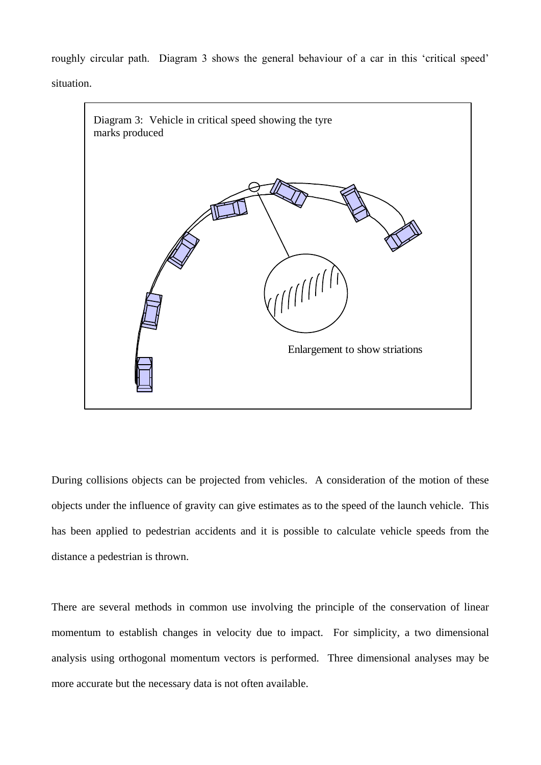roughly circular path. Diagram 3 shows the general behaviour of a car in this 'critical speed' situation.



During collisions objects can be projected from vehicles. A consideration of the motion of these objects under the influence of gravity can give estimates as to the speed of the launch vehicle. This has been applied to pedestrian accidents and it is possible to calculate vehicle speeds from the distance a pedestrian is thrown.

There are several methods in common use involving the principle of the conservation of linear momentum to establish changes in velocity due to impact. For simplicity, a two dimensional analysis using orthogonal momentum vectors is performed. Three dimensional analyses may be more accurate but the necessary data is not often available.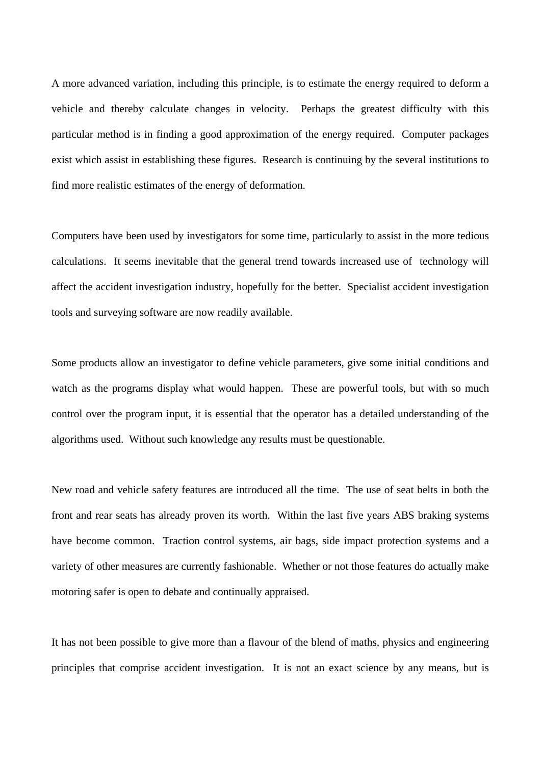A more advanced variation, including this principle, is to estimate the energy required to deform a vehicle and thereby calculate changes in velocity. Perhaps the greatest difficulty with this particular method is in finding a good approximation of the energy required. Computer packages exist which assist in establishing these figures. Research is continuing by the several institutions to find more realistic estimates of the energy of deformation.

Computers have been used by investigators for some time, particularly to assist in the more tedious calculations. It seems inevitable that the general trend towards increased use of technology will affect the accident investigation industry, hopefully for the better. Specialist accident investigation tools and surveying software are now readily available.

Some products allow an investigator to define vehicle parameters, give some initial conditions and watch as the programs display what would happen. These are powerful tools, but with so much control over the program input, it is essential that the operator has a detailed understanding of the algorithms used. Without such knowledge any results must be questionable.

New road and vehicle safety features are introduced all the time. The use of seat belts in both the front and rear seats has already proven its worth. Within the last five years ABS braking systems have become common. Traction control systems, air bags, side impact protection systems and a variety of other measures are currently fashionable. Whether or not those features do actually make motoring safer is open to debate and continually appraised.

It has not been possible to give more than a flavour of the blend of maths, physics and engineering principles that comprise accident investigation. It is not an exact science by any means, but is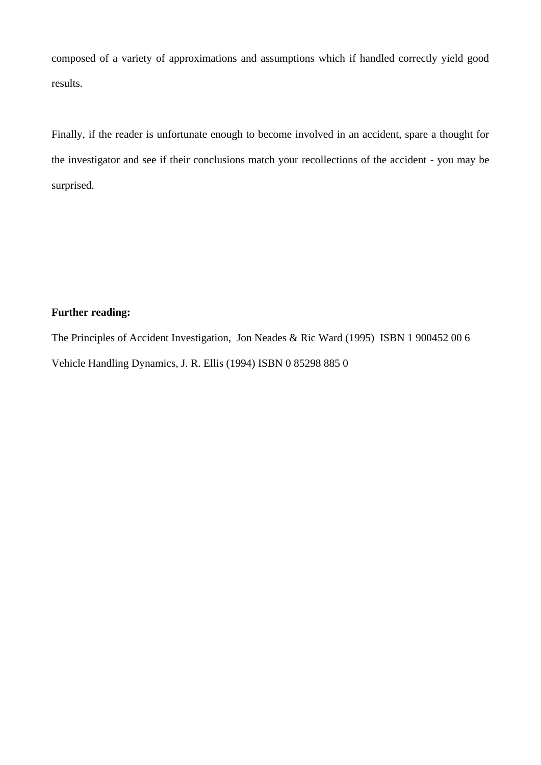composed of a variety of approximations and assumptions which if handled correctly yield good results.

Finally, if the reader is unfortunate enough to become involved in an accident, spare a thought for the investigator and see if their conclusions match your recollections of the accident - you may be surprised.

## **Further reading:**

The Principles of Accident Investigation, Jon Neades & Ric Ward (1995) ISBN 1 900452 00 6 Vehicle Handling Dynamics, J. R. Ellis (1994) ISBN 0 85298 885 0